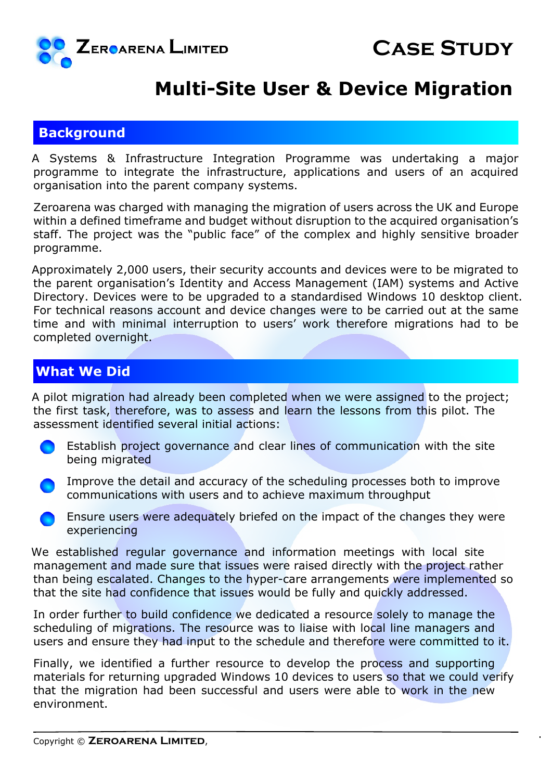

## **Multi-Site User & Device Migration**

### **Background**

A Systems & Infrastructure Integration Programme was undertaking a major programme to integrate the infrastructure, applications and users of an acquired organisation into the parent company systems.

Zeroarena was charged with managing the migration of users across the UK and Europe within a defined timeframe and budget without disruption to the acquired organisation's staff. The project was the "public face" of the complex and highly sensitive broader programme.

Approximately 2,000 users, their security accounts and devices were to be migrated to the parent organisation's Identity and Access Management (IAM) systems and Active Directory. Devices were to be upgraded to a standardised Windows 10 desktop client. For technical reasons account and device changes were to be carried out at the same time and with minimal interruption to users' work therefore migrations had to be completed overnight.

### **What We Did**

A pilot migration had already been completed when we were assigned to the project; the first task, therefore, was to assess and learn the lessons from this pilot. The assessment identified several initial actions:

 Establish project governance and clear lines of communication with the site being migrated

 Improve the detail and accuracy of the scheduling processes both to improve communications with users and to achieve maximum throughput

 Ensure users were adequately briefed on the impact of the changes they were experiencing

We established regular governance and information meetings with local site management and made sure that issues were raised directly with the project rather than being escalated. Changes to the hyper-care arrangements were implemented so that the site had confidence that issues would be fully and quickly addressed.

In order further to build confidence we dedicated a resource solely to manage the scheduling of migrations. The resource was to liaise with local line managers and users and ensure they had input to the schedule and therefore were committed to it.

Finally, we identified a further resource to develop the process and supporting materials for returning upgraded Windows 10 devices to users so that we could verify that the migration had been successful and users were able to work in the new environment.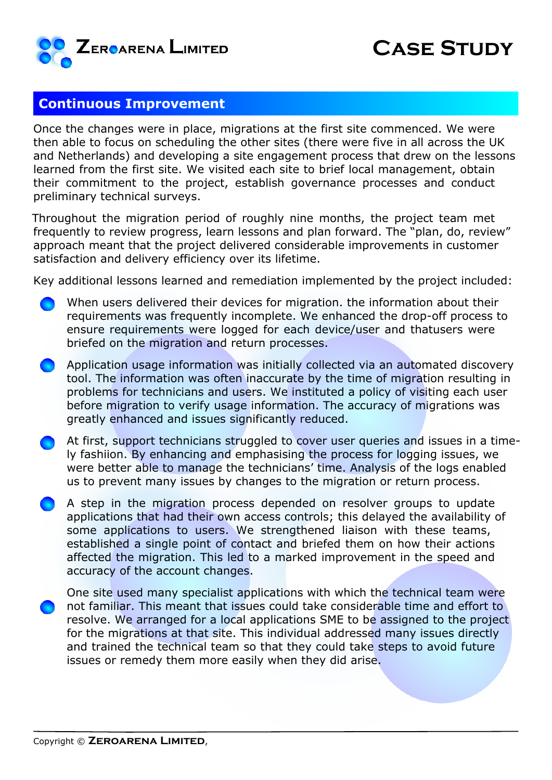

#### **Continuous Improvement**

Once the changes were in place, migrations at the first site commenced. We were then able to focus on scheduling the other sites (there were five in all across the UK and Netherlands) and developing a site engagement process that drew on the lessons learned from the first site. We visited each site to brief local management, obtain their commitment to the project, establish governance processes and conduct preliminary technical surveys.

Throughout the migration period of roughly nine months, the project team met frequently to review progress, learn lessons and plan forward. The "plan, do, review" approach meant that the project delivered considerable improvements in customer satisfaction and delivery efficiency over its lifetime.

Key additional lessons learned and remediation implemented by the project included:

- When users delivered their devices for migration. the information about their requirements was frequently incomplete. We enhanced the drop-off process to ensure requirements were logged for each device/user and thatusers were briefed on the migration and return processes.
- Application usage information was initially collected via an automated discovery tool. The information was often inaccurate by the time of migration resulting in problems for technicians and users. We instituted a policy of visiting each user before migration to verify usage information. The accuracy of migrations was greatly enhanced and issues significantly reduced.
- At first, support technicians struggled to cover user queries and issues in a timely fashiion. By enhancing and emphasising the process for logging issues, we were better able to manage the technicians' time. Analysis of the logs enabled us to prevent many issues by changes to the migration or return process.
- A step in the migration process depended on resolver groups to update applications that had their own access controls; this delayed the availability of some applications to users. We strengthened liaison with these teams, established a single point of contact and briefed them on how their actions affected the migration. This led to a marked improvement in the speed and accuracy of the account changes.
- One site used many specialist applications with which the technical team were not familiar. This meant that issues could take considerable time and effort to resolve. We arranged for a local applications SME to be assigned to the project for the migrations at that site. This individual addressed many issues directly and trained the technical team so that they could take steps to avoid future issues or remedy them more easily when they did arise.